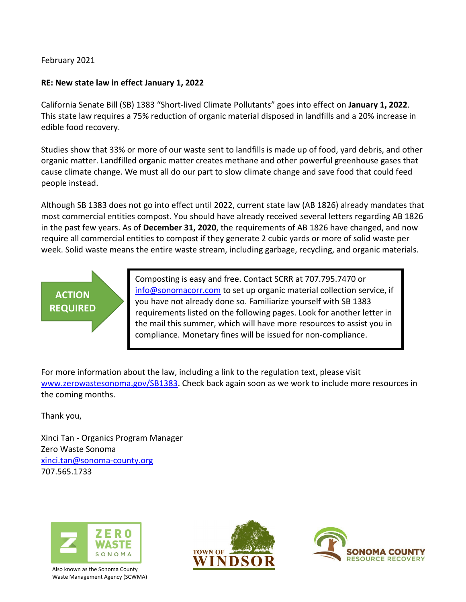February 2021

### **RE: New state law in effect January 1, 2022**

California Senate Bill (SB) 1383 "Short-lived Climate Pollutants" goes into effect on **January 1, 2022**. This state law requires a 75% reduction of organic material disposed in landfills and a 20% increase in edible food recovery.

Studies show that 33% or more of our waste sent to landfills is made up of food, yard debris, and other organic matter. Landfilled organic matter creates methane and other powerful greenhouse gases that cause climate change. We must all do our part to slow climate change and save food that could feed people instead.

Although SB 1383 does not go into effect until 2022, current state law (AB 1826) already mandates that most commercial entities compost. You should have already received several letters regarding AB 1826 in the past few years. As of **December 31, 2020**, the requirements of AB 1826 have changed, and now require all commercial entities to compost if they generate 2 cubic yards or more of solid waste per week. Solid waste means the entire waste stream, including garbage, recycling, and organic materials.

# **ACTION REQUIRED**

Composting is easy and free. Contact SCRR at 707.795.7470 or [info@sonomacorr.com](mailto:info@sonomacorr.com) to set up organic material collection service, if you have not already done so. Familiarize yourself with SB 1383 requirements listed on the following pages. Look for another letter in the mail this summer, which will have more resources to assist you in compliance. Monetary fines will be issued for non-compliance.

For more information about the law, including a link to the regulation text, please visit [www.zerowastesonoma.gov/SB1383.](http://www.zerowastesonoma.gov/SB1383) Check back again soon as we work to include more resources in the coming months.

Thank you,

Xinci Tan - Organics Program Manager Zero Waste Sonoma [xinci.tan@sonoma-county.org](mailto:xinci.tan@sonoma-county.org) 707.565.1733



Also known as the Sonoma County Waste Management Agency (SCWMA)



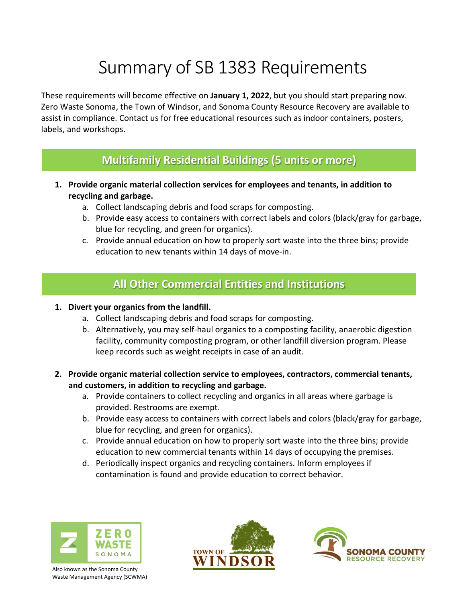## Summary of SB 1383 Requirements

These requirements will become effective on **January 1, 2022**, but you should start preparing now. Zero Waste Sonoma, the Town of Windsor, and Sonoma County Resource Recovery are available to assist in compliance. Contact us for free educational resources such as indoor containers, posters, labels, and workshops.

## **Multifamily Residential Buildings (5 units or more)**

- **1. Provide organic material collection services for employees and tenants, in addition to recycling and garbage.**
	- a. Collect landscaping debris and food scraps for composting.
	- b. Provide easy access to containers with correct labels and colors (black/gray for garbage, blue for recycling, and green for organics).
	- c. Provide annual education on how to properly sort waste into the three bins; provide education to new tenants within 14 days of move-in.

## **All Other Commercial Entities and Institutions**

#### **1. Divert your organics from the landfill.**

- a. Collect landscaping debris and food scraps for composting.
- b. Alternatively, you may self-haul organics to a composting facility, anaerobic digestion facility, community composting program, or other landfill diversion program. Please keep records such as weight receipts in case of an audit.
- **2. Provide organic material collection service to employees, contractors, commercial tenants, and customers, in addition to recycling and garbage.**
	- a. Provide containers to collect recycling and organics in all areas where garbage is provided. Restrooms are exempt.
	- b. Provide easy access to containers with correct labels and colors (black/gray for garbage, blue for recycling, and green for organics).
	- c. Provide annual education on how to properly sort waste into the three bins; provide education to new commercial tenants within 14 days of occupying the premises.
	- d. Periodically inspect organics and recycling containers. Inform employees if contamination is found and provide education to correct behavior.



Also known as the Sonoma County Waste Management Agency (SCWMA)